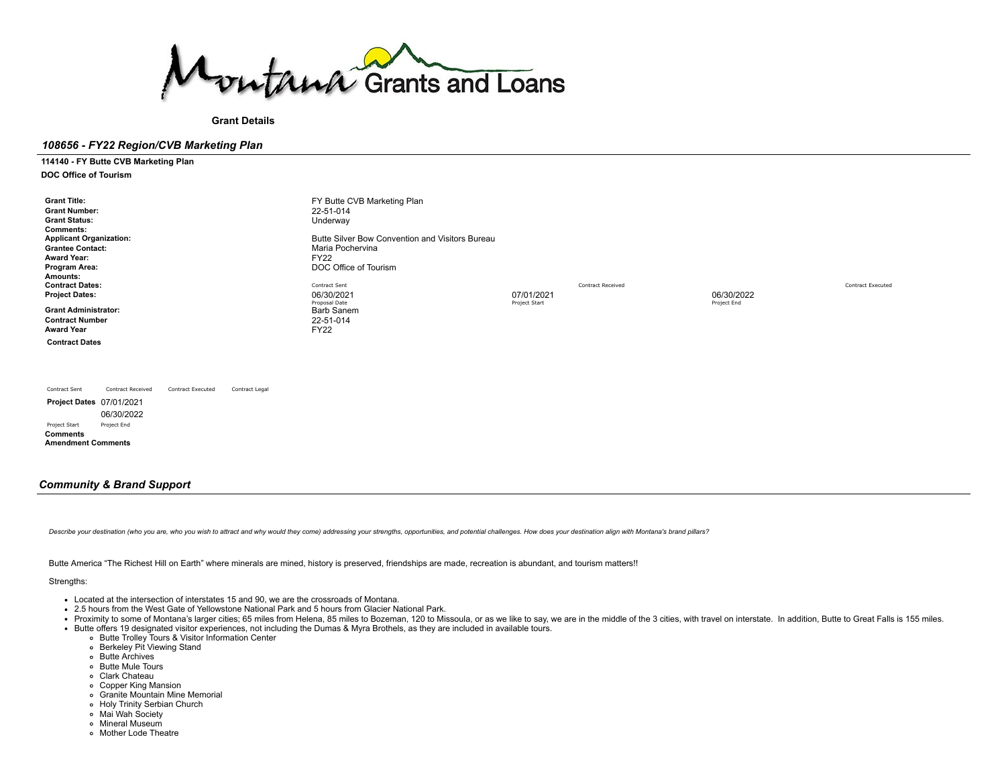

**Grant Details**

## *108656 - FY22 Region/CVB Marketing Plan*

**114140 - FY Butte CVB Marketing Plan DOC Office of Tourism**

**Grant Title:** FY Butte CVB Marketing Plan<br>
Grant Number: 22-51-014 **Grant Number:** 22-51-014<br> **Grant Status:** 22-51-014<br>
Underway **Grant Status: Comments: Applicant Organization: Butte Silver Bow [Convention](https://funding.mt.gov/organizationDetail.do?OIDString=1393890392724|Organization&history=include) and Visitors Bureau**<br> **Grantee Contact: Butter Silver Bow Convention and Visitors Bureau**<br>
Maria Pochervina **Maria [Pochervina](https://funding.mt.gov/personDetail.do?OIDString=1393890392740|Person&history=include)**<br>FY22 **Award Year:**<br>Program Area: **POC Office of Tourism Amounts: Contract Dates:** Contract Contract Received Contract Received Contract Received Contract Received Contract Executed Contract Executed **Project Dates:** 06/30/2021 07/01/2021 06/30/2022 Proposal Date Project End Project Start Project Start Proposal Date Project End Project Start Project Start Project Start Project Start Project Start Project Start Project Start Project Start Project Start Project Start Pr **Grant Administrator:** Barb [Sanem](https://funding.mt.gov/personDetail.do?OIDString=1324656878242|Person&history=include)<br> **Contract Number** 22-51-014 **Contract Number** 22-51-22-51-22-51-22-51-22-51-22-51-22-51-22-51-22-51-22-51-22-51-22-51-22-51-22-51-22-51-22-51-22-51-22-51-22-51-22-51-22-51-22-51-22-51-22-51-22-51-22-51-22-51-22-51-22-51-22-51-22-51-22-51-22-51-22-51-**Award Year Contract Dates**

Contract Sent Contract Received Contract Executed Contract Legal **Project Dates** 07/01/2021 06/30/2022 Project Start Project End **Comments Amendment Comments**

## *Community & Brand Support*

Describe your destination (who you are, who you wish to attract and why would they come) addressing your strengths, opportunities, and potential challenges. How does your destination align with Montana's brand pillars?

Butte America "The Richest Hill on Earth" where minerals are mined, history is preserved, friendships are made, recreation is abundant, and tourism matters!!

#### Strengths:

- Located at the intersection of interstates 15 and 90, we are the crossroads of Montana.
- 2.5 hours from the West Gate of Yellowstone National Park and 5 hours from Glacier National Park.
- Proximity to some of Montana's larger cities; 65 miles from Helena, 85 miles to Bozeman, 120 to Missoula, or as we like to say, we are in the middle of the 3 cities, with travel on interstate. In addition, Butte to Great
- Butte offers 19 designated visitor experiences, not including the Dumas & Myra Brothels, as they are included in available tours.
	- Butte Trolley Tours & Visitor Information Center
	- Berkeley Pit Viewing Stand
	- Butte Archives
	- Butte Mule Tours
	- Clark Chateau
	- Copper King Mansion
	- Granite Mountain Mine Memorial
	- Holy Trinity Serbian Church
	- Mai Wah Society
	- Mineral Museum
	- Mother Lode Theatre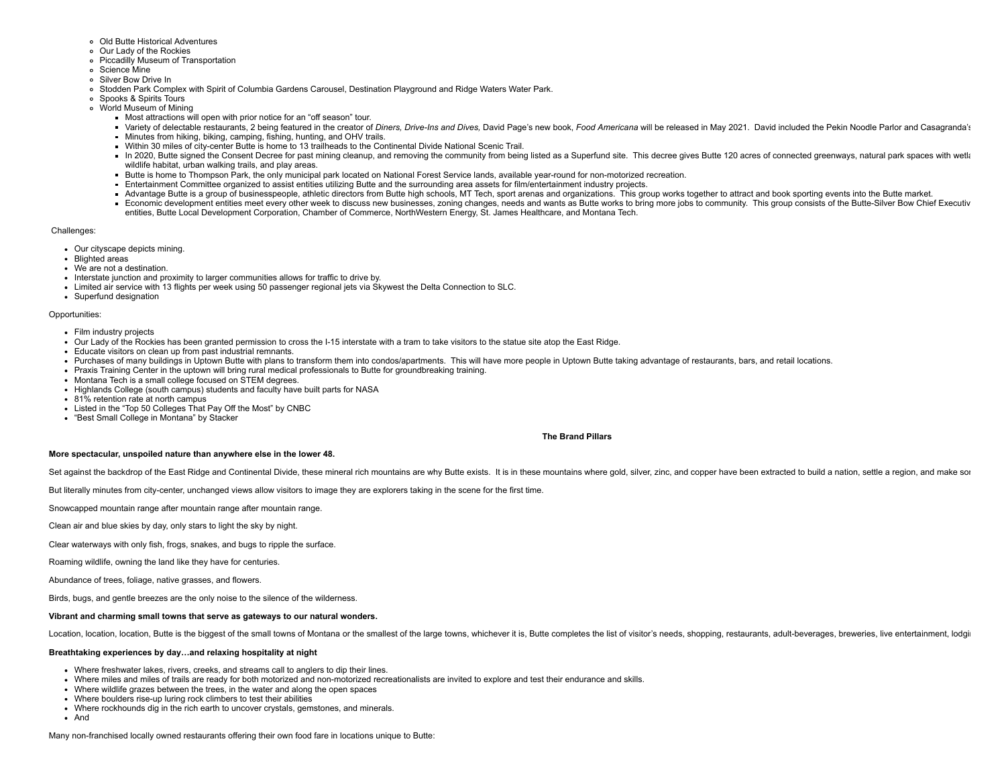- Old Butte Historical Adventures
- o Our Lady of the Rockies
- Piccadilly Museum of Transportation
- Science Mine
- Silver Bow Drive In
- Stodden Park Complex with Spirit of Columbia Gardens Carousel, Destination Playground and Ridge Waters Water Park.
- Spooks & Spirits Tours
- World Museum of Mining
	- Most attractions will open with prior notice for an "off season" tour.
	- Variety of delectable restaurants, 2 being featured in the creator of Diners, Drive-Ins and Dives, David Page's new book, Food Americana will be released in May 2021. David included the Pekin Noodle Parlor and Casagranda's
	- Minutes from hiking, biking, camping, fishing, hunting, and OHV trails.
	- Within 30 miles of city-center Butte is home to 13 trailheads to the Continental Divide National Scenic Trail.
	- In 2020, Butte signed the Consent Decree for past mining cleanup, and removing the community from being listed as a Superfund site. This decree gives Butte 120 acres of connected greenways, natural park spaces with wetla wildlife habitat, urban walking trails, and play areas.
	- Butte is home to Thompson Park, the only municipal park located on National Forest Service lands, available year-round for non-motorized recreation.
	- Entertainment Committee organized to assist entities utilizing Butte and the surrounding area assets for film/entertainment industry projects.
	- Advantage Butte is a group of businesspeople, athletic directors from Butte high schools, MT Tech, sport arenas and organizations. This group works together to attract and book sporting events into the Butte market.
	- Economic development entities meet every other week to discuss new businesses, zoning changes, needs and wants as Butte works to bring more jobs to community. This group consists of the Butte-Silver Bow Chief Executiv entities, Butte Local Development Corporation, Chamber of Commerce, NorthWestern Energy, St. James Healthcare, and Montana Tech.

### Challenges:

- Our cityscape depicts mining.
- Blighted areas
- We are not a destination.
- Interstate junction and proximity to larger communities allows for traffic to drive by.
- Limited air service with 13 flights per week using 50 passenger regional jets via Skywest the Delta Connection to SLC.
- Superfund designation

## Opportunities:

- Film industry projects
- Our Lady of the Rockies has been granted permission to cross the I-15 interstate with a tram to take visitors to the statue site atop the East Ridge.
- Educate visitors on clean up from past industrial remnants.
- Purchases of many buildings in Uptown Butte with plans to transform them into condos/apartments. This will have more people in Uptown Butte taking advantage of restaurants, bars, and retail locations.
- Praxis Training Center in the uptown will bring rural medical professionals to Butte for groundbreaking training.
- Montana Tech is a small college focused on STEM degrees.
- Highlands College (south campus) students and faculty have built parts for NASA
- 81% retention rate at north campus
- Listed in the "Top 50 Colleges That Pay Off the Most" by CNBC
- "Best Small College in Montana" by Stacker

## **The Brand Pillars**

### **More spectacular, unspoiled nature than anywhere else in the lower 48.**

Set against the backdrop of the East Ridge and Continental Divide, these mineral rich mountains are why Butte exists. It is in these mountains where gold, silver, zinc, and copper have been extracted to build a nation, set

But literally minutes from city-center, unchanged views allow visitors to image they are explorers taking in the scene for the first time.

Snowcapped mountain range after mountain range after mountain range.

Clean air and blue skies by day, only stars to light the sky by night.

Clear waterways with only fish, frogs, snakes, and bugs to ripple the surface.

Roaming wildlife, owning the land like they have for centuries.

Abundance of trees, foliage, native grasses, and flowers.

Birds, bugs, and gentle breezes are the only noise to the silence of the wilderness.

## **Vibrant and charming small towns that serve as gateways to our natural wonders.**

Location, location, location, Butte is the biggest of the small towns of Montana or the smallest of the large towns, whichever it is, Butte completes the list of visitor's needs, shopping, restaurants, adult-beverages, bre

## **Breathtaking experiences by day…and relaxing hospitality at night**

- Where freshwater lakes, rivers, creeks, and streams call to anglers to dip their lines.
- Where miles and miles of trails are ready for both motorized and non-motorized recreationalists are invited to explore and test their endurance and skills.
- Where wildlife grazes between the trees, in the water and along the open spaces
- Where boulders rise-up luring rock climbers to test their abilities
- Where rockhounds dig in the rich earth to uncover crystals, gemstones, and minerals.
- And

Many non-franchised locally owned restaurants offering their own food fare in locations unique to Butte: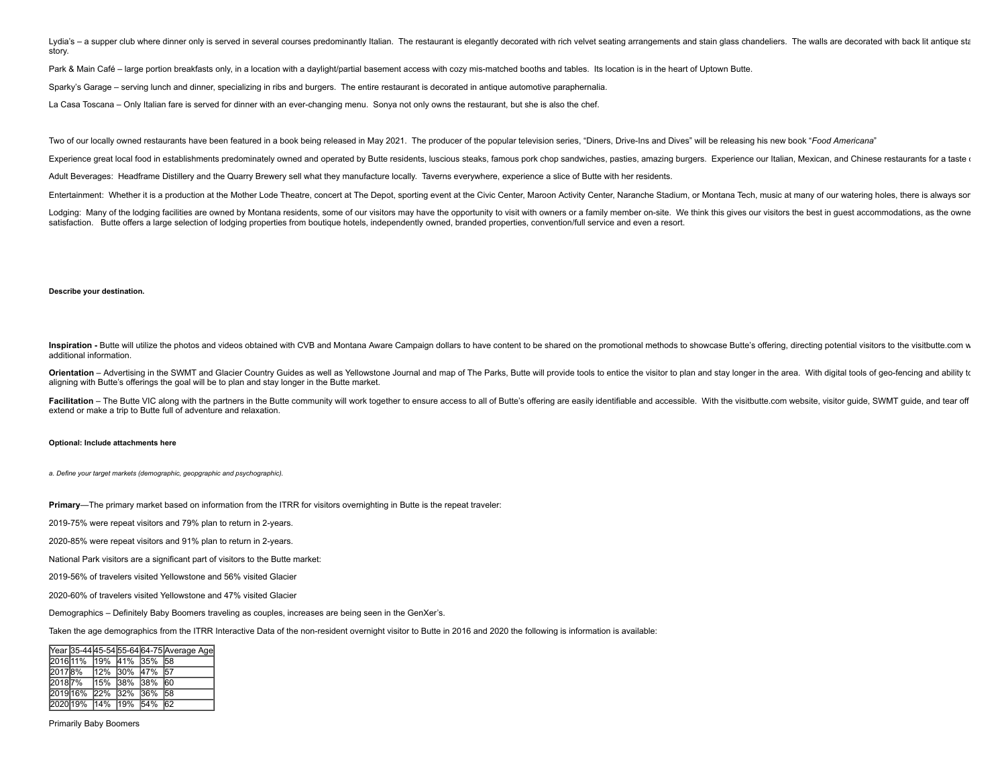Lydia's - a supper club where dinner only is served in several courses predominantly Italian. The restaurant is elegantly decorated with rich velvet seating arrangements and stain glass chandeliers. The walls are decorated story.

Park & Main Café – large portion breakfasts only, in a location with a daylight/partial basement access with cozy mis-matched booths and tables. Its location is in the heart of Uptown Butte.

Sparky's Garage – serving lunch and dinner, specializing in ribs and burgers. The entire restaurant is decorated in antique automotive paraphernalia.

La Casa Toscana – Only Italian fare is served for dinner with an ever-changing menu. Sonya not only owns the restaurant, but she is also the chef.

Two of our locally owned restaurants have been featured in a book being released in May 2021. The producer of the popular television series, "Diners, Drive-Ins and Dives" will be releasing his new book "Food Americana"

Experience great local food in establishments predominately owned and operated by Butte residents, luscious steaks, famous pork chop sandwiches, pasties, amazing burgers. Experience our Italian, Mexican, and Chinese restau

Adult Beverages: Headframe Distillery and the Quarry Brewery sell what they manufacture locally. Taverns everywhere, experience a slice of Butte with her residents.

Entertainment: Whether it is a production at the Mother Lode Theatre, concert at The Depot, sporting event at the Civic Center, Maroon Activity Center, Naranche Stadium, or Montana Tech, music at many of our watering holes

Lodging: Many of the lodging facilities are owned by Montana residents, some of our visitors may have the opportunity to visit with owners or a family member on-site. We think this gives our visitors the best in guest acco satisfaction. Butte offers a large selection of lodging properties from boutique hotels, independently owned, branded properties, convention/full service and even a resort.

#### **Describe your destination.**

Inspiration - Butte will utilize the photos and videos obtained with CVB and Montana Aware Campaign dollars to have content to be shared on the promotional methods to showcase Butte's offering, directing potential visitors additional information.

Orientation - Advertising in the SWMT and Glacier Country Guides as well as Yellowstone Journal and map of The Parks, Butte will provide tools to entice the visitor to plan and stay longer in the area. With digital tools o aligning with Butte's offerings the goal will be to plan and stay longer in the Butte market.

Facilitation - The Butte VIC along with the partners in the Butte community will work together to ensure access to all of Butte's offering are easily identifiable and accessible. With the visitbutte.com website, visitor gu extend or make a trip to Butte full of adventure and relaxation.

#### **Optional: Include attachments here**

*a. Define your target markets (demographic, geopgraphic and psychographic).*

**Primary**—The primary market based on information from the ITRR for visitors overnighting in Butte is the repeat traveler:

2019-75% were repeat visitors and 79% plan to return in 2-years.

2020-85% were repeat visitors and 91% plan to return in 2-years.

National Park visitors are a significant part of visitors to the Butte market:

2019-56% of travelers visited Yellowstone and 56% visited Glacier

2020-60% of travelers visited Yellowstone and 47% visited Glacier

Demographics – Definitely Baby Boomers traveling as couples, increases are being seen in the GenXer's.

Taken the age demographics from the ITRR Interactive Data of the non-resident overnight visitor to Butte in 2016 and 2020 the following is information is available:

|  |  |                               | Year 35-44 45-54 55-64 64-75 Average Age |
|--|--|-------------------------------|------------------------------------------|
|  |  | 2016 11% 19% 41% 35% 58       |                                          |
|  |  | 2017 8% 12% 30% 47% 57        |                                          |
|  |  | 20187%   15%   38%   38%   60 |                                          |
|  |  | 2019 16% 22% 32% 36% 58       |                                          |
|  |  | 2020 19% 14% 19% 54% 62       |                                          |

Primarily Baby Boomers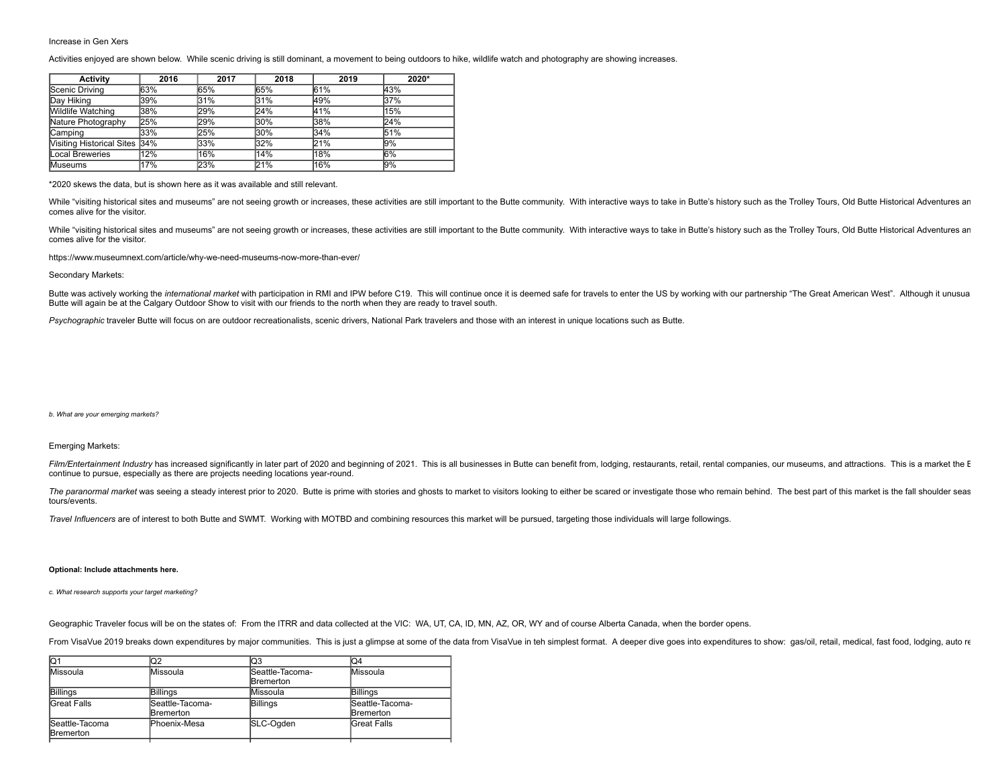## Increase in Gen Xers

Activities enjoyed are shown below. While scenic driving is still dominant, a movement to being outdoors to hike, wildlife watch and photography are showing increases.

| Activity                      | 2016 | 2017 | 2018 | 2019 | 2020*  |
|-------------------------------|------|------|------|------|--------|
| Scenic Driving                | 63%  | 65%  | 65%  | 61%  | 43%    |
| Day Hiking                    | 39%  | 31%  | 31%  | 49%  | 37%    |
| Wildlife Watching             | 38%  | 29%  | 24%  | 41%  | 15%    |
| Nature Photography            | 25%  | 29%  | 30%  | 38%  | 24%    |
| lCamping                      | 33%  | 25%  | 30%  | 34%  | 51%    |
| Visiting Historical Sites 34% |      | 33%  | 32%  | 21%  | 9%     |
| Local Breweries               | 12%  | 16%  | '14% | 18%  | 6%     |
| <b>Museums</b>                | 17%  | 23%  | 21%  | 16%  | $ 9\%$ |

\*2020 skews the data, but is shown here as it was available and still relevant.

While "visiting historical sites and museums" are not seeing growth or increases, these activities are still important to the Butte community. With interactive ways to take in Butte's history such as the Trolley Tours, Old comes alive for the visitor.

While "visiting historical sites and museums" are not seeing growth or increases, these activities are still important to the Butte community. With interactive ways to take in Butte's history such as the Trolley Tours, Old comes alive for the visitor.

<https://www.museumnext.com/article/why-we-need-museums-now-more-than-ever/>

#### Secondary Markets:

Butte was actively working the international market with participation in RMI and IPW before C19. This will continue once it is deemed safe for travels to enter the US by working with our partnership "The Great American We Butte will again be at the Calgary Outdoor Show to visit with our friends to the north when they are ready to travel south.

*Psychographic* traveler Butte will focus on are outdoor recreationalists, scenic drivers, National Park travelers and those with an interest in unique locations such as Butte.

#### *b. What are your emerging markets?*

## Emerging Markets:

Film/Entertainment Industry has increased significantly in later part of 2020 and beginning of 2021. This is all businesses in Butte can benefit from, lodging, restaurants, retail, rental companies, our museums, and attrac continue to pursue, especially as there are projects needing locations year-round.

The paranormal market was seeing a steady interest prior to 2020. Butte is prime with stories and ghosts to market to visitors looking to either be scared or investigate those who remain behind. The best part of this marke tours/events.

*Travel Influencers* are of interest to both Butte and SWMT. Working with MOTBD and combining resources this market will be pursued, targeting those individuals will large followings.

#### **Optional: Include attachments here.**

*c. What research supports your target marketing?*

Geographic Traveler focus will be on the states of: From the ITRR and data collected at the VIC: WA, UT, CA, ID, MN, AZ, OR, WY and of course Alberta Canada, when the border opens.

From VisaVue 2019 breaks down expenditures by major communities. This is just a glimpse at some of the data from VisaVue in teh simplest format. A deeper dive goes into expenditures to show: gas/oil, retail, medical, fast

| IQ1                                | lQ2                          | lQ3                                 | lQ4                          |
|------------------------------------|------------------------------|-------------------------------------|------------------------------|
| Missoula                           | Missoula                     | Seattle-Tacoma-<br><b>Bremerton</b> | Missoula                     |
| Billings                           | Billings                     | Missoula                            | Billings                     |
| Great Falls                        | Seattle-Tacoma-<br>Bremerton | <b>Billings</b>                     | Seattle-Tacoma-<br>Bremerton |
| Seattle-Tacoma<br><b>Bremerton</b> | Phoenix-Mesa                 | SLC-Ogden                           | <b>Great Falls</b>           |
|                                    |                              |                                     |                              |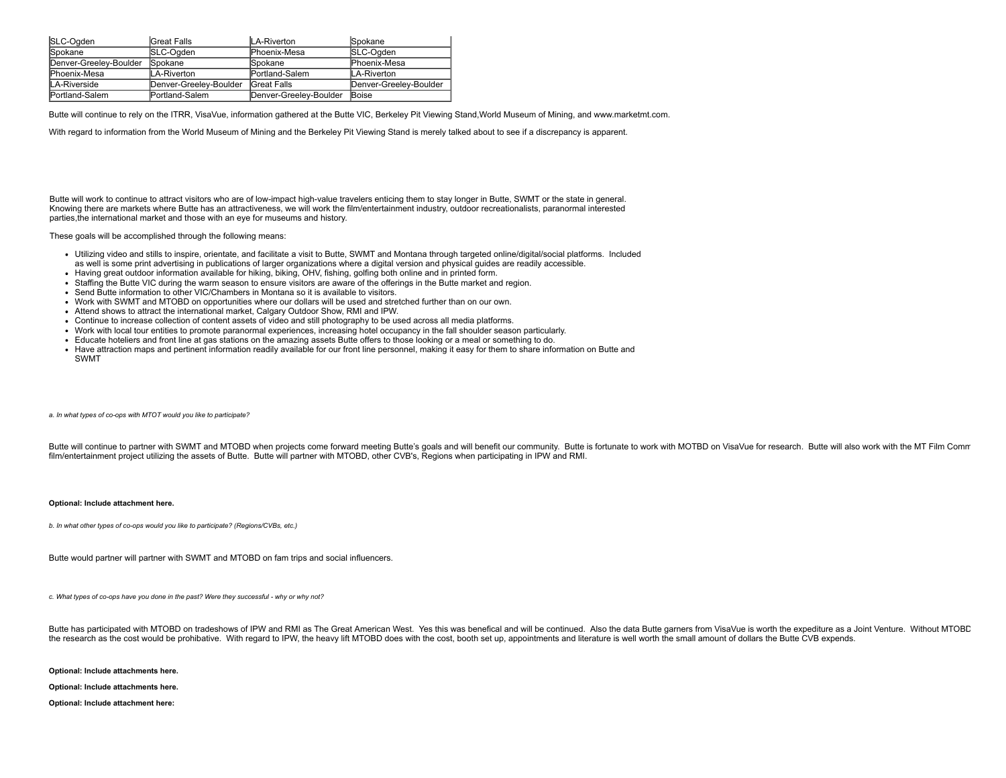| SLC-Ogden              | Great Falls            | LA-Riverton            | <b>Spokane</b>         |
|------------------------|------------------------|------------------------|------------------------|
| <b>Spokane</b>         | SLC-Ogden              | Phoenix-Mesa           | SLC-Ogden              |
| Denver-Greelev-Boulder | Spokane                | Spokane                | Phoenix-Mesa           |
| <b>Phoenix-Mesa</b>    | LA-Riverton            | Portland-Salem         | LA-Riverton            |
| LA-Riverside           | Denver-Greelev-Boulder | <b>Great Falls</b>     | Denver-Greelev-Boulder |
| Portland-Salem         | <b>Portland-Salem</b>  | Denver-Greeley-Boulder | <b>Boise</b>           |

Butte will continue to rely on the ITRR, VisaVue, information gathered at the Butte VIC, Berkeley Pit Viewing Stand, World Museum of Mining, and [www.marketmt.com.](http://www.marketmt.com/)

With regard to information from the World Museum of Mining and the Berkeley Pit Viewing Stand is merely talked about to see if a discrepancy is apparent.

Butte will work to continue to attract visitors who are of low-impact high-value travelers enticing them to stay longer in Butte, SWMT or the state in general. Knowing there are markets where Butte has an attractiveness, we will work the film/entertainment industry, outdoor recreationalists, paranormal interested parties,the international market and those with an eye for museums and history.

These goals will be accomplished through the following means:

- Utilizing video and stills to inspire, orientate, and facilitate a visit to Butte, SWMT and Montana through targeted online/digital/social platforms. Included as well is some print advertising in publications of larger organizations where a digital version and physical guides are readily accessible.
- Having great outdoor information available for hiking, biking, OHV, fishing, golfing both online and in printed form.
- Staffing the Butte VIC during the warm season to ensure visitors are aware of the offerings in the Butte market and region.
- Send Butte information to other VIC/Chambers in Montana so it is available to visitors.
- Work with SWMT and MTOBD on opportunities where our dollars will be used and stretched further than on our own.
- Attend shows to attract the international market, Calgary Outdoor Show, RMI and IPW.
- Continue to increase collection of content assets of video and still photography to be used across all media platforms.
- Work with local tour entities to promote paranormal experiences, increasing hotel occupancy in the fall shoulder season particularly.
- Educate hoteliers and front line at gas stations on the amazing assets Butte offers to those looking or a meal or something to do.
- Have attraction maps and pertinent information readily available for our front line personnel, making it easy for them to share information on Butte and SWMT

*a. In what types of co-ops with MTOT would you like to participate?*

Butte will continue to partner with SWMT and MTOBD when projects come forward meeting Butte's goals and will benefit our community. Butte is fortunate to work with MOTBD on VisaVue for research. Butte will also work with t film/entertainment project utilizing the assets of Butte. Butte will partner with MTOBD, other CVB's, Regions when participating in IPW and RMI.

#### **Optional: Include attachment here.**

*b. In what other types of co-ops would you like to participate? (Regions/CVBs, etc.)*

Butte would partner will partner with SWMT and MTOBD on fam trips and social influencers.

*c. What types of co-ops have you done in the past? Were they successful - why or why not?*

Butte has participated with MTOBD on tradeshows of IPW and RMI as The Great American West. Yes this was benefical and will be continued. Also the data Butte garners from VisaVue is worth the expediture as a Joint Venture. the research as the cost would be prohibative. With regard to IPW, the heavy lift MTOBD does with the cost, booth set up, appointments and literature is well worth the small amount of dollars the Butte CVB expends.

**Optional: Include attachments here.**

**Optional: Include attachments here.**

**Optional: Include attachment here:**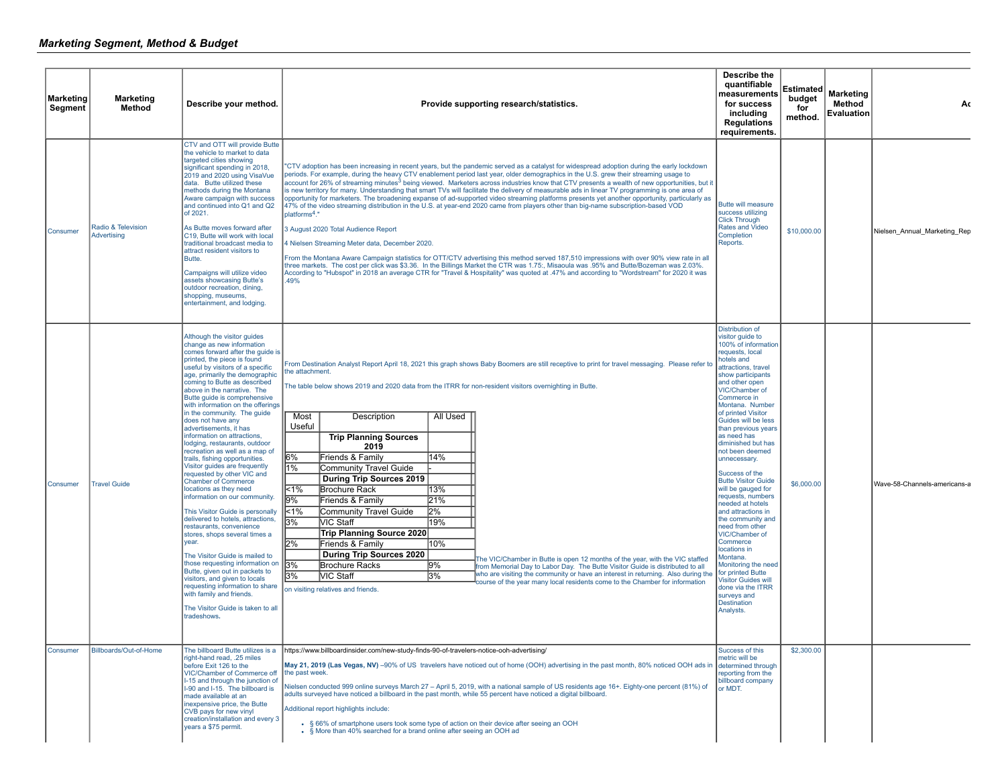| <b>Marketing</b><br>Segment | <b>Marketing</b><br>Method        | Describe your method.                                                                                                                                                                                                                                                                                                                                                                                                                                                                                                                                                                                                                                                                                                                                                                                                                                                                                                                                                                                                                                                                                                     | Provide supporting research/statistics.                                                                                                                                                                                                                                                                                                                                                                                                                                                                                                                                                                                                                                                                                                                                                                                                                                                                                                                                                                                                                                                                                                                                                                                                                                                                                                                                                                                                                 | Describe the<br>quantifiable<br>measurements<br>for success<br>including<br><b>Regulations</b><br>requirements.                                                                                                                                                                                                                                                                                                                                                                                                                                                                                                                                                                                                                                          | Estimated<br>budget<br>for<br>method. | <b>Marketing</b><br>Method<br><b>Evaluation</b> | Ac                           |
|-----------------------------|-----------------------------------|---------------------------------------------------------------------------------------------------------------------------------------------------------------------------------------------------------------------------------------------------------------------------------------------------------------------------------------------------------------------------------------------------------------------------------------------------------------------------------------------------------------------------------------------------------------------------------------------------------------------------------------------------------------------------------------------------------------------------------------------------------------------------------------------------------------------------------------------------------------------------------------------------------------------------------------------------------------------------------------------------------------------------------------------------------------------------------------------------------------------------|---------------------------------------------------------------------------------------------------------------------------------------------------------------------------------------------------------------------------------------------------------------------------------------------------------------------------------------------------------------------------------------------------------------------------------------------------------------------------------------------------------------------------------------------------------------------------------------------------------------------------------------------------------------------------------------------------------------------------------------------------------------------------------------------------------------------------------------------------------------------------------------------------------------------------------------------------------------------------------------------------------------------------------------------------------------------------------------------------------------------------------------------------------------------------------------------------------------------------------------------------------------------------------------------------------------------------------------------------------------------------------------------------------------------------------------------------------|----------------------------------------------------------------------------------------------------------------------------------------------------------------------------------------------------------------------------------------------------------------------------------------------------------------------------------------------------------------------------------------------------------------------------------------------------------------------------------------------------------------------------------------------------------------------------------------------------------------------------------------------------------------------------------------------------------------------------------------------------------|---------------------------------------|-------------------------------------------------|------------------------------|
| Consumer                    | Radio & Television<br>Advertising | CTV and OTT will provide Butte<br>the vehicle to market to data<br>targeted cities showing<br>significant spending in 2018,<br>2019 and 2020 using VisaVue<br>data. Butte utilized these<br>methods during the Montana<br>Aware campaign with success<br>and continued into Q1 and Q2<br>of 2021.<br>As Butte moves forward after<br>C19. Butte will work with local<br>traditional broadcast media to<br>attract resident visitors to<br>Butte.<br>Campaigns will utilize video<br>assets showcasing Butte's<br>outdoor recreation, dining,<br>shopping, museums,<br>entertainment, and lodging.                                                                                                                                                                                                                                                                                                                                                                                                                                                                                                                         | "CTV adoption has been increasing in recent years, but the pandemic served as a catalyst for widespread adoption during the early lockdown<br>periods. For example, during the heavy CTV enablement period last year, older demographics in the U.S. grew their streaming usage to<br>account for 26% of streaming minutes <sup>3</sup> being viewed. Marketers across industries know that CTV presents a wealth of new opportunities, but it<br>is new territory for many. Understanding that smart TVs will facilitate the delivery of measurable ads in linear TV programming is one area of<br>opportunity for marketers. The broadening expanse of ad-supported video streaming platforms presents vet another opportunity, particularly as<br>47% of the video streaming distribution in the U.S. at year-end 2020 came from players other than big-name subscription-based VOD<br>platforms <sup>4</sup> ."<br>3 August 2020 Total Audience Report<br>4 Nielsen Streaming Meter data, December 2020.<br>From the Montana Aware Campaign statistics for OTT/CTV advertising this method served 187,510 impressions with over 90% view rate in all<br>three markets. The cost per click was \$3.36. In the Billings Market the CTR was 1.75:, Misaoula was .95% and Butte/Bozeman was 2.03%.<br>According to "Hubspot" in 2018 an average CTR for "Travel & Hospitality" was quoted at .47% and according to "Wordstream" for 2020 it was<br>.49% | Butte will measure<br>success utilizing<br><b>Click Through</b><br><b>Rates and Video</b><br>Completion<br>Reports.                                                                                                                                                                                                                                                                                                                                                                                                                                                                                                                                                                                                                                      | \$10,000.00                           |                                                 | Nielsen Annual Marketing Rep |
| Consumer                    | <b>Travel Guide</b>               | Although the visitor guides<br>change as new information<br>comes forward after the quide is<br>printed, the piece is found<br>useful by visitors of a specific<br>age, primarily the demographic<br>coming to Butte as described<br>above in the narrative. The<br>Butte guide is comprehensive<br>with information on the offerings<br>in the community. The guide<br>does not have any<br>advertisements, it has<br>information on attractions,<br>lodging, restaurants, outdoor<br>recreation as well as a map of<br>trails, fishing opportunities.<br>Visitor guides are frequently<br>requested by other VIC and<br><b>Chamber of Commerce</b><br>locations as they need<br>information on our community.<br>This Visitor Guide is personally<br>delivered to hotels, attractions,<br>restaurants, convenience<br>stores, shops several times a<br>year.<br>The Visitor Guide is mailed to<br>those requesting information on<br>Butte, given out in packets to<br>visitors, and given to locals<br>requesting information to share<br>with family and friends.<br>The Visitor Guide is taken to all<br>tradeshows. | From Destination Analyst Report April 18, 2021 this graph shows Baby Boomers are still receptive to print for travel messaging. Please refer to<br>the attachment.<br>The table below shows 2019 and 2020 data from the ITRR for non-resident visitors overnighting in Butte.<br>Most<br>All Used<br>Description<br>Useful<br><b>Trip Planning Sources</b><br>2019<br>6%<br>14%<br>Friends & Family<br>1%<br>Community Travel Guide<br><b>During Trip Sources 2019</b><br>$1\%$<br>13%<br>Brochure Rack<br>9%<br>Friends & Family<br>21%<br>2%<br><1%<br>Community Travel Guide<br>3%<br><b>VIC Staff</b><br>19%<br>Trip Planning Source 2020<br>2%<br>Friends & Family<br>10%<br>During Trip Sources 2020<br>he VIC/Chamber in Butte is open 12 months of the year, with the VIC staffed<br>3%<br><b>Brochure Racks</b><br>9%<br>from Memorial Day to Labor Day. The Butte Visitor Guide is distributed to all<br>who are visiting the community or have an interest in returning. Also during the<br>3%<br>3%<br><b>VIC Staff</b><br>course of the year many local residents come to the Chamber for information<br>on visiting relatives and friends.                                                                                                                                                                                                                                                                                                | <b>Distribution of</b><br>visitor guide to<br>100% of information<br>requests, local<br>hotels and<br>attractions, travel<br>show participants<br>and other open<br>VIC/Chamber of<br>Commerce in<br>Montana. Number<br>of printed Visitor<br>Guides will be less<br>than previous years<br>as need has<br>diminished but has<br>not been deemed<br>unnecessary.<br>Success of the<br><b>Butte Visitor Guide</b><br>will be gauged for<br>requests, numbers<br>needed at hotels<br>and attractions in<br>the community and<br>need from other<br>VIC/Chamber of<br>Commerce<br>locations in<br>Montana.<br>Monitoring the need<br>for printed Butte<br><b>Visitor Guides will</b><br>done via the ITRR<br>surveys and<br><b>Destination</b><br>Analysts. | \$6,000.00                            |                                                 | Wave-58-Channels-americans-a |
| Consumer                    | Billboards/Out-of-Home            | The billboard Butte utilizes is a<br>right-hand read, .25 miles<br>before Exit 126 to the<br>VIC/Chamber of Commerce off<br>I-15 and through the junction of<br>I-90 and I-15. The billboard is<br>made available at an<br>inexpensive price, the Butte<br>CVB pays for new vinyl<br>creation/installation and every 3<br>years a \$75 permit.                                                                                                                                                                                                                                                                                                                                                                                                                                                                                                                                                                                                                                                                                                                                                                            | https://www.billboardinsider.com/new-study-finds-90-of-travelers-notice-ooh-advertising/<br>May 21, 2019 (Las Vegas, NV) -90% of US travelers have noticed out of home (OOH) advertising in the past month, 80% noticed OOH ads in<br>the past week.<br>Nielsen conducted 999 online surveys March 27 – April 5, 2019, with a national sample of US residents age 16+. Eighty-one percent (81%) of<br>adults surveyed have noticed a billboard in the past month, while 55 percent have noticed a digital billboard.<br>Additional report highlights include:<br>. § 66% of smartphone users took some type of action on their device after seeing an OOH<br>• § More than 40% searched for a brand online after seeing an OOH ad                                                                                                                                                                                                                                                                                                                                                                                                                                                                                                                                                                                                                                                                                                                       | Success of this<br>metric will be<br>determined through<br>reporting from the<br>billboard company<br>or MDT.                                                                                                                                                                                                                                                                                                                                                                                                                                                                                                                                                                                                                                            | \$2,300.00                            |                                                 |                              |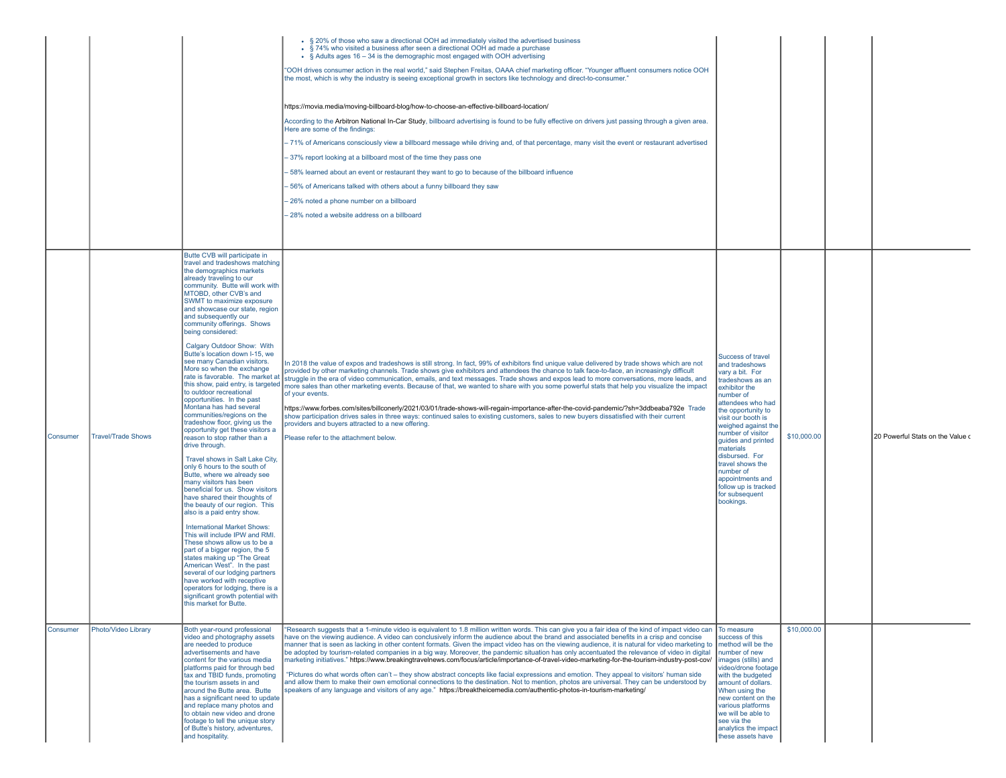|          |                           |                                                                                                                                                                                                                                                                                                                                                                                                                                                                                                                                                                                                                                                                                                                                                                                                                                                                                                                                                                                                                                                                                                                                                                                                                                                                                                                                                                                                                             | • § 20% of those who saw a directional OOH ad immediately visited the advertised business<br>• § 74% who visited a business after seen a directional OOH ad made a purchase<br>• $\frac{1}{2}$ Adults ages 16 – 34 is the demographic most engaged with OOH advertising<br>"OOH drives consumer action in the real world," said Stephen Freitas, OAAA chief marketing officer. "Younger affluent consumers notice OOH<br>the most, which is why the industry is seeing exceptional growth in sectors like technology and direct-to-consumer."<br>https://movia.media/moving-billboard-blog/how-to-choose-an-effective-billboard-location/<br>According to the Arbitron National In-Car Study, billboard advertising is found to be fully effective on drivers just passing through a given area.<br>Here are some of the findings:<br>-71% of Americans consciously view a billboard message while driving and, of that percentage, many visit the event or restaurant advertised<br>37% report looking at a billboard most of the time they pass one<br>58% learned about an event or restaurant they want to go to because of the billboard influence<br>56% of Americans talked with others about a funny billboard they saw<br>26% noted a phone number on a billboard<br>28% noted a website address on a billboard |                                                                                                                                                                                                                                                                                                                                                                                        |             |                                  |
|----------|---------------------------|-----------------------------------------------------------------------------------------------------------------------------------------------------------------------------------------------------------------------------------------------------------------------------------------------------------------------------------------------------------------------------------------------------------------------------------------------------------------------------------------------------------------------------------------------------------------------------------------------------------------------------------------------------------------------------------------------------------------------------------------------------------------------------------------------------------------------------------------------------------------------------------------------------------------------------------------------------------------------------------------------------------------------------------------------------------------------------------------------------------------------------------------------------------------------------------------------------------------------------------------------------------------------------------------------------------------------------------------------------------------------------------------------------------------------------|--------------------------------------------------------------------------------------------------------------------------------------------------------------------------------------------------------------------------------------------------------------------------------------------------------------------------------------------------------------------------------------------------------------------------------------------------------------------------------------------------------------------------------------------------------------------------------------------------------------------------------------------------------------------------------------------------------------------------------------------------------------------------------------------------------------------------------------------------------------------------------------------------------------------------------------------------------------------------------------------------------------------------------------------------------------------------------------------------------------------------------------------------------------------------------------------------------------------------------------------------------------------------------------------------------------------------|----------------------------------------------------------------------------------------------------------------------------------------------------------------------------------------------------------------------------------------------------------------------------------------------------------------------------------------------------------------------------------------|-------------|----------------------------------|
| Consumer | <b>Travel/Trade Shows</b> | Butte CVB will participate in<br>travel and tradeshows matching<br>the demographics markets<br>already traveling to our<br>community. Butte will work with<br>MTOBD, other CVB's and<br>SWMT to maximize exposure<br>and showcase our state, region<br>and subsequently our<br>community offerings. Shows<br>being considered:<br>Calgary Outdoor Show: With<br>Butte's location down I-15, we<br>see many Canadian visitors.<br>More so when the exchange<br>rate is favorable. The market at<br>this show, paid entry, is targeted<br>to outdoor recreational<br>opportunities. In the past<br>Montana has had several<br>communities/regions on the<br>tradeshow floor, giving us the<br>opportunity get these visitors a<br>reason to stop rather than a<br>drive through.<br>Travel shows in Salt Lake City,<br>only 6 hours to the south of<br>Butte, where we already see<br>many visitors has been<br>beneficial for us. Show visitors<br>have shared their thoughts of<br>the beauty of our region. This<br>also is a paid entry show.<br><b>International Market Shows:</b><br>This will include IPW and RMI.<br>These shows allow us to be a<br>part of a bigger region, the 5<br>states making up "The Great<br>American West". In the past<br>several of our lodging partners<br>have worked with receptive<br>operators for lodging, there is a<br>significant growth potential with<br>this market for Butte | In 2018 the value of expos and tradeshows is still strong. In fact, 99% of exhibitors find unique value delivered by trade shows which are not<br>provided by other marketing channels. Trade shows give exhibitors and attendees the chance to talk face-to-face, an increasingly difficult<br>struggle in the era of video communication, emails, and text messages. Trade shows and expos lead to more conversations, more leads, and<br>more sales than other marketing events. Because of that, we wanted to share with you some powerful stats that help you visualize the impact<br>of your events.<br>https://www.forbes.com/sites/billconerly/2021/03/01/trade-shows-will-regain-importance-after-the-covid-pandemic/?sh=3ddbeaba792e Trade<br>show participation drives sales in three ways: continued sales to existing customers, sales to new buyers dissatisfied with their current<br>providers and buyers attracted to a new offering.<br>Please refer to the attachment below.                                                                                                                                                                                                                                                                                                                          | Success of travel<br>and tradeshows<br>vary a bit. For<br>tradeshows as an<br>exhibitor the<br>number of<br>attendees who had<br>the opportunity to<br>visit our booth is<br>weighed against the<br>number of visitor<br>quides and printed<br>materials<br>disbursed. For<br>travel shows the<br>number of<br>appointments and<br>follow up is tracked<br>for subsequent<br>bookings. | \$10,000.00 | 20 Powerful Stats on the Value c |
| Consumer | Photo/Video Library       | Both vear-round professional<br>video and photography assets<br>are needed to produce<br>advertisements and have<br>content for the various media<br>platforms paid for through bed<br>tax and TBID funds, promoting<br>the tourism assets in and<br>around the Butte area. Butte<br>has a significant need to update<br>and replace many photos and<br>to obtain new video and drone<br>footage to tell the unique story<br>of Butte's history, adventures,<br>and hospitality.                                                                                                                                                                                                                                                                                                                                                                                                                                                                                                                                                                                                                                                                                                                                                                                                                                                                                                                                            | "Research suggests that a 1-minute video is equivalent to 1.8 million written words. This can give you a fair idea of the kind of impact video can<br>have on the viewing audience. A video can conclusively inform the audience about the brand and associated benefits in a crisp and concise<br>manner that is seen as lacking in other content formats. Given the impact video has on the viewing audience, it is natural for video marketing to<br>be adopted by tourism-related companies in a big way. Moreover, the pandemic situation has only accentuated the relevance of video in digital<br>marketing initiatives." https://www.breakingtravelnews.com/focus/article/importance-of-travel-video-marketing-for-the-tourism-industry-post-cov/<br>"Pictures do what words often can't - they show abstract concepts like facial expressions and emotion. They appeal to visitors' human side<br>and allow them to make their own emotional connections to the destination. Not to mention, photos are universal. They can be understood by<br>speakers of any language and visitors of any age." https://breaktheicemedia.com/authentic-photos-in-tourism-marketing/                                                                                                                                          | To measure<br>success of this<br>method will be the<br>number of new<br>images (stills) and<br>video/drone footage<br>with the budgeted<br>amount of dollars.<br>When using the<br>new content on the<br>various platforms<br>we will be able to<br>see via the<br>analytics the impact<br>these assets have                                                                           | \$10,000.00 |                                  |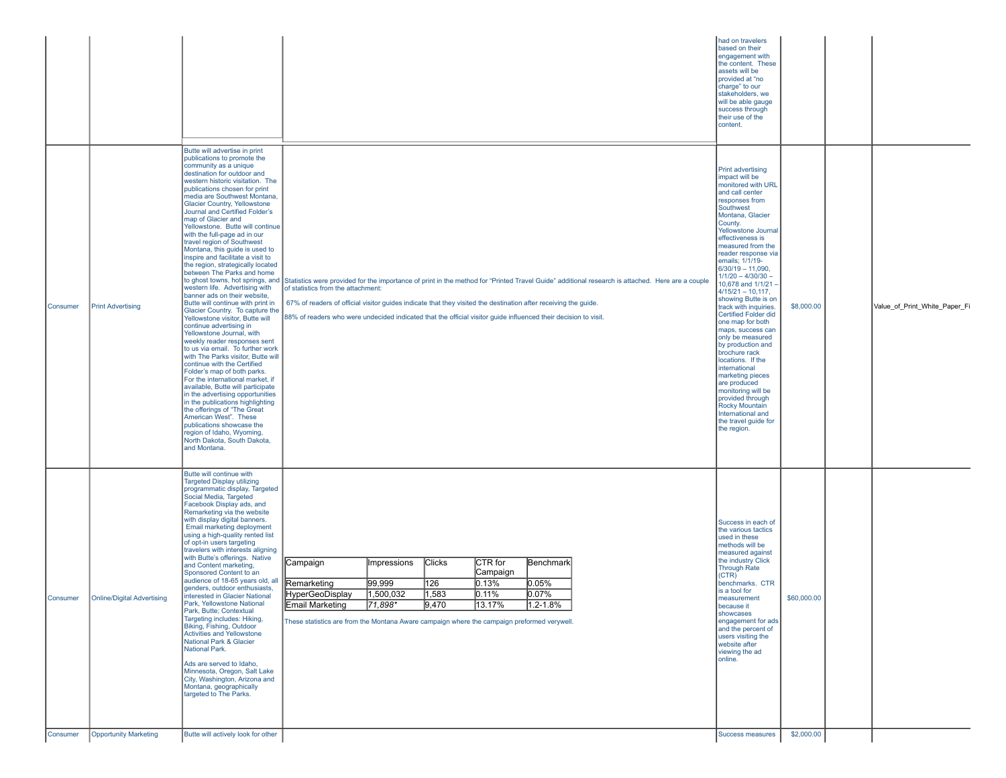|          |                                   |                                                                                                                                                                                                                                                                                                                                                                                                                                                                                                                                                                                                                                                                                                                                                                                                                                                                                                                                                                                                                                                                                                                                                                                                                                                                                              |                                                                                                                                                                                                                                                                                                                                                                                                                                                               | had on travelers<br>based on their<br>engagement with<br>the content. These<br>assets will be<br>provided at "no<br>charge" to our<br>stakeholders, we<br>will be able gauge<br>success through<br>their use of the<br>content.                                                                                                                                                                                                                                                                                                                                                                                                                                                                                                            |             |                               |
|----------|-----------------------------------|----------------------------------------------------------------------------------------------------------------------------------------------------------------------------------------------------------------------------------------------------------------------------------------------------------------------------------------------------------------------------------------------------------------------------------------------------------------------------------------------------------------------------------------------------------------------------------------------------------------------------------------------------------------------------------------------------------------------------------------------------------------------------------------------------------------------------------------------------------------------------------------------------------------------------------------------------------------------------------------------------------------------------------------------------------------------------------------------------------------------------------------------------------------------------------------------------------------------------------------------------------------------------------------------|---------------------------------------------------------------------------------------------------------------------------------------------------------------------------------------------------------------------------------------------------------------------------------------------------------------------------------------------------------------------------------------------------------------------------------------------------------------|--------------------------------------------------------------------------------------------------------------------------------------------------------------------------------------------------------------------------------------------------------------------------------------------------------------------------------------------------------------------------------------------------------------------------------------------------------------------------------------------------------------------------------------------------------------------------------------------------------------------------------------------------------------------------------------------------------------------------------------------|-------------|-------------------------------|
| Consumer | <b>Print Advertising</b>          | Butte will advertise in print<br>publications to promote the<br>community as a unique<br>destination for outdoor and<br>western historic visitation. The<br>publications chosen for print<br>media are Southwest Montana,<br>Glacier Country, Yellowstone<br>Journal and Certified Folder's<br>map of Glacier and<br>Yellowstone. Butte will continue<br>with the full-page ad in our<br>travel region of Southwest<br>Montana, this guide is used to<br>inspire and facilitate a visit to<br>the region, strategically located<br>between The Parks and home<br>western life. Advertising with<br>banner ads on their website,<br>Butte will continue with print in<br>Glacier Country. To capture the<br>Yellowstone visitor, Butte will<br>continue advertising in<br>Yellowstone Journal, with<br>weekly reader responses sent<br>to us via email. To further work<br>with The Parks visitor, Butte will<br>continue with the Certified<br>Folder's map of both parks.<br>For the international market, if<br>available, Butte will participate<br>in the advertising opportunities<br>in the publications highlighting<br>the offerings of "The Great<br>American West". These<br>publications showcase the<br>region of Idaho, Wyoming,<br>North Dakota, South Dakota,<br>and Montana. | to ghost towns, hot springs, and Statistics were provided for the importance of print in the method for "Printed Travel Guide" additional research is attached. Here are a couple<br>of statistics from the attachment:<br>67% of readers of official visitor guides indicate that they visited the destination after receiving the guide.<br>88% of readers who were undecided indicated that the official visitor guide influenced their decision to visit. | <b>Print advertising</b><br>impact will be<br>monitored with URL<br>and call center<br>responses from<br>Southwest<br>Montana, Glacier<br>County.<br>Yellowstone Journal<br>effectiveness is<br>measured from the<br>reader response via<br>emails; 1/1/19-<br>$6/30/19 - 11,090,$<br>$1/1/20 - 4/30/30 -$<br>10,678 and 1/1/21<br>$4/15/21 - 10,117,$<br>showing Butte is on<br>track with inquiries.<br><b>Certified Folder did</b><br>one map for both<br>maps, success can<br>only be measured<br>by production and<br>brochure rack<br>locations. If the<br>international<br>marketing pieces<br>are produced<br>monitoring will be<br>provided through<br>Rocky Mountain<br>International and<br>the travel guide for<br>the region. | \$8,000.00  | Value_of_Print_White_Paper_Fi |
| Consumer | <b>Online/Digital Advertising</b> | Butte will continue with<br><b>Targeted Display utilizing</b><br>programmatic display, Targeted<br>Social Media, Targeted<br>Facebook Display ads, and<br>Remarketing via the website<br>with display digital banners.<br>Email marketing deployment<br>using a high-quality rented list<br>of opt-in users targeting<br>travelers with interests aligning<br>with Butte's offerings. Native<br>and Content marketing,<br>Sponsored Content to an<br>audience of 18-65 years old, all<br>genders, outdoor enthusiasts,<br>interested in Glacier National<br>Park, Yellowstone National<br>Park, Butte; Contextual<br>Targeting includes: Hiking,<br>Biking, Fishing, Outdoor<br>Activities and Yellowstone<br>National Park & Glacier<br>National Park.<br>Ads are served to Idaho,<br>Minnesota, Oregon, Salt Lake<br>City, Washington, Arizona and<br>Montana, geographically<br>targeted to The Parks.                                                                                                                                                                                                                                                                                                                                                                                    | <b>Clicks</b><br>Campaign<br>CTR for<br>Benchmark<br>Impressions<br> Campaign<br>99,999<br>126<br>Remarketing<br>$ 0.13\%$<br>$ 0.05\%$<br><b>HyperGeoDisplay</b><br>1,500,032<br> 1,583<br>0.11%<br>$0.07\%$<br>$1.2 - 1.8%$<br>71,898<br>9,470<br>13.17%<br>Email Marketing<br>These statistics are from the Montana Aware campaign where the campaign preformed verywell                                                                                   | Success in each of<br>the various tactics<br>used in these<br>methods will be<br>measured against<br>the industry Click<br><b>Through Rate</b><br>(CTR)<br>benchmarks. CTR<br>is a tool for<br>measurement<br>because it<br>showcases<br>engagement for ads<br>and the percent of<br>users visiting the<br>website after<br>viewing the ad<br>online.                                                                                                                                                                                                                                                                                                                                                                                      | \$60,000.00 |                               |
| Consumer | <b>Opportunity Marketing</b>      | Butte will actively look for other                                                                                                                                                                                                                                                                                                                                                                                                                                                                                                                                                                                                                                                                                                                                                                                                                                                                                                                                                                                                                                                                                                                                                                                                                                                           |                                                                                                                                                                                                                                                                                                                                                                                                                                                               | Success measures                                                                                                                                                                                                                                                                                                                                                                                                                                                                                                                                                                                                                                                                                                                           | \$2,000.00  |                               |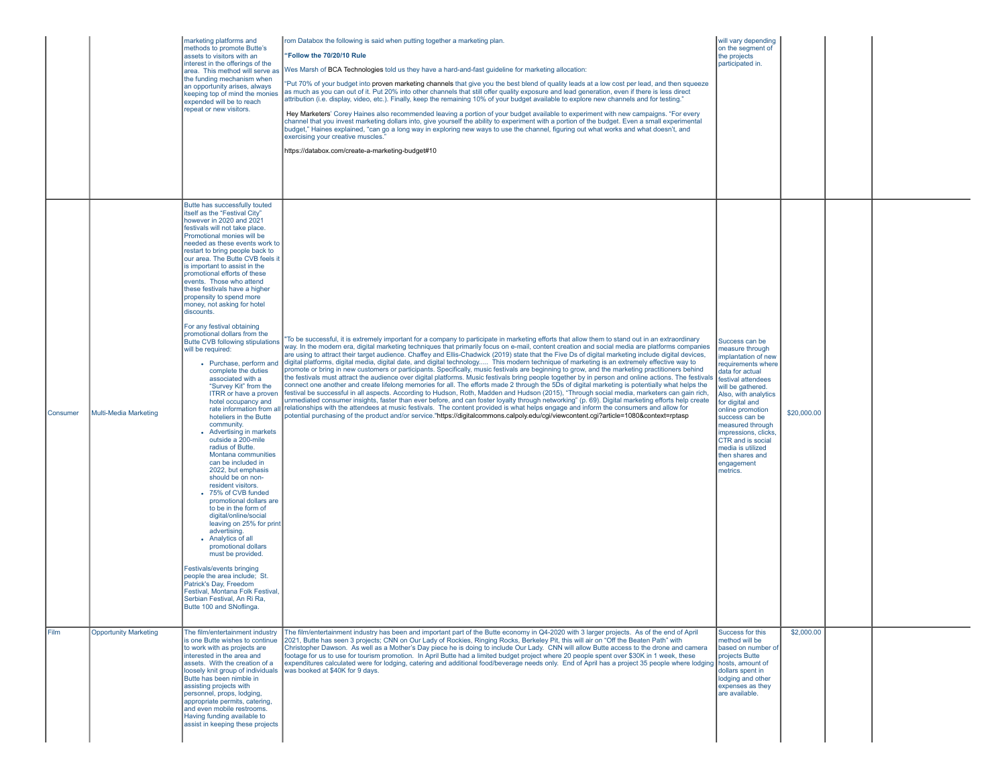|             |                              | marketing platforms and<br>methods to promote Butte's<br>assets to visitors with an<br>interest in the offerings of the<br>area. This method will serve as<br>the funding mechanism when<br>an opportunity arises, always<br>keeping top of mind the monies<br>expended will be to reach<br>repeat or new visitors.                                                                                                                                                                                                                                                                                                                                                                                                                                                                                                                                                                                                                                                                                                                                                                                                                                                                                                                                                                                                                                                                                               | rom Databox the following is said when putting together a marketing plan.<br>"Follow the 70/20/10 Rule<br>Wes Marsh of BCA Technologies told us they have a hard-and-fast guideline for marketing allocation:<br>"Put 70% of your budget into proven marketing channels that give you the best blend of quality leads at a low cost per lead, and then squeeze<br>as much as you can out of it. Put 20% into other channels that still offer quality exposure and lead generation, even if there is less direct<br>attribution (i.e. display, video, etc.). Finally, keep the remaining 10% of your budget available to explore new channels and for testing."<br>Hey Marketers' Corey Haines also recommended leaving a portion of your budget available to experiment with new campaigns. "For every<br>channel that you invest marketing dollars into, give yourself the ability to experiment with a portion of the budget. Even a small experimental<br>budget," Haines explained, "can go a long way in exploring new ways to use the channel, figuring out what works and what doesn't, and<br>exercising your creative muscles.'<br>https://databox.com/create-a-marketing-budget#10                                                                                                                                                                                                                                                                                                                                                                                                                                                             | will vary depending<br>on the segment of<br>the projects<br>participated in                                                                                                                                                                                                                                                                                     |             |  |
|-------------|------------------------------|-------------------------------------------------------------------------------------------------------------------------------------------------------------------------------------------------------------------------------------------------------------------------------------------------------------------------------------------------------------------------------------------------------------------------------------------------------------------------------------------------------------------------------------------------------------------------------------------------------------------------------------------------------------------------------------------------------------------------------------------------------------------------------------------------------------------------------------------------------------------------------------------------------------------------------------------------------------------------------------------------------------------------------------------------------------------------------------------------------------------------------------------------------------------------------------------------------------------------------------------------------------------------------------------------------------------------------------------------------------------------------------------------------------------|----------------------------------------------------------------------------------------------------------------------------------------------------------------------------------------------------------------------------------------------------------------------------------------------------------------------------------------------------------------------------------------------------------------------------------------------------------------------------------------------------------------------------------------------------------------------------------------------------------------------------------------------------------------------------------------------------------------------------------------------------------------------------------------------------------------------------------------------------------------------------------------------------------------------------------------------------------------------------------------------------------------------------------------------------------------------------------------------------------------------------------------------------------------------------------------------------------------------------------------------------------------------------------------------------------------------------------------------------------------------------------------------------------------------------------------------------------------------------------------------------------------------------------------------------------------------------------------------------------------------------------------------------------|-----------------------------------------------------------------------------------------------------------------------------------------------------------------------------------------------------------------------------------------------------------------------------------------------------------------------------------------------------------------|-------------|--|
| Consumer    | Multi-Media Marketing        | Butte has successfully touted<br>itself as the "Festival City"<br>however in 2020 and 2021<br>festivals will not take place.<br>Promotional monies will be<br>needed as these events work to<br>restart to bring people back to<br>our area. The Butte CVB feels it<br>is important to assist in the<br>promotional efforts of these<br>events. Those who attend<br>these festivals have a higher<br>propensity to spend more<br>money, not asking for hotel<br>discounts.<br>For any festival obtaining<br>promotional dollars from the<br>Butte CVB following stipulations<br>will be required:<br>• Purchase, perform and<br>complete the duties<br>associated with a<br>"Survey Kit" from the<br>ITRR or have a proven<br>hotel occupancy and<br>rate information from all<br>hoteliers in the Butte<br>community.<br>• Advertising in markets<br>outside a 200-mile<br>radius of Butte.<br>Montana communities<br>can be included in<br>2022, but emphasis<br>should be on non-<br>resident visitors.<br>• 75% of CVB funded<br>promotional dollars are<br>to be in the form of<br>digital/online/social<br>leaving on 25% for print<br>advertising.<br>• Analytics of all<br>promotional dollars<br>must be provided.<br>Festivals/events bringing<br>people the area include; St.<br>Patrick's Dav. Freedom<br>Festival, Montana Folk Festival.<br>Serbian Festival, An Ri Ra.<br>Butte 100 and SNoflinga. | "To be successful, it is extremely important for a company to participate in marketing efforts that allow them to stand out in an extraordinary<br>way. In the modern era, digital marketing techniques that primarily focus on e-mail, content creation and social media are platforms companies<br>are using to attract their target audience. Chaffey and Ellis-Chadwick (2019) state that the Five Ds of digital marketing include digital devices,<br>digital platforms, digital media, digital date, and digital technology This modern technique of marketing is an extremely effective way to<br>promote or bring in new customers or participants. Specifically, music festivals are beginning to grow, and the marketing practitioners behind<br>the festivals must attract the audience over digital platforms. Music festivals bring people together by in person and online actions. The festivals<br>connect one another and create lifelong memories for all. The efforts made 2 through the 5Ds of digital marketing is potentially what helps the<br>festival be successful in all aspects. According to Hudson, Roth, Madden and Hudson (2015), "Through social media, marketers can gain rich,<br>unmediated consumer insights, faster than ever before, and can foster loyalty through networking" (p. 69). Digital marketing efforts help create<br>relationships with the attendees at music festivals. The content provided is what helps engage and inform the consumers and allow for<br>potential purchasing of the product and/or service."https://digitalcommons.calpoly.edu/cgi/viewcontent.cgi?article=1080&context=rptasp | Success can be<br>measure through<br>implantation of new<br>requirements where<br>data for actual<br>festival attendees<br>will be gathered.<br>Also, with analytics<br>for digital and<br>online promotion<br>success can be<br>measured through<br>impressions, clicks<br>CTR and is social<br>media is utilized<br>then shares and<br>engagement<br>metrics. | \$20,000.00 |  |
| <b>Film</b> | <b>Opportunity Marketing</b> | is one Butte wishes to continue<br>to work with as projects are<br>interested in the area and<br>assets. With the creation of a<br>loosely knit group of individuals<br>Butte has been nimble in<br>assisting projects with<br>personnel, props, lodging,<br>appropriate permits, catering,<br>and even mobile restrooms.<br>Having funding available to<br>assist in keeping these projects                                                                                                                                                                                                                                                                                                                                                                                                                                                                                                                                                                                                                                                                                                                                                                                                                                                                                                                                                                                                                      | The film/entertainment industry The film/entertainment industry has been and important part of the Butte economy in Q4-2020 with 3 larger projects. As of the end of April<br>2021, Butte has seen 3 projects; CNN on Our Lady of Rockies, Ringing Rocks, Berkeley Pit, this will air on "Off the Beaten Path" with<br>Christopher Dawson. As well as a Mother's Day piece he is doing to include Our Lady. CNN will allow Butte access to the drone and camera<br>footage for us to use for tourism promotion. In April Butte had a limited budget project where 20 people spent over \$30K in 1 week, these<br>expenditures calculated were for lodging, catering and additional food/beverage needs only. End of April has a project 35 people where lodging hosts, amount of<br>was booked at \$40K for 9 days.                                                                                                                                                                                                                                                                                                                                                                                                                                                                                                                                                                                                                                                                                                                                                                                                                                      | Success for this<br>method will be<br>based on number of<br>projects Butte<br>dollars spent in<br>lodging and other<br>expenses as they<br>are available.                                                                                                                                                                                                       | \$2,000.00  |  |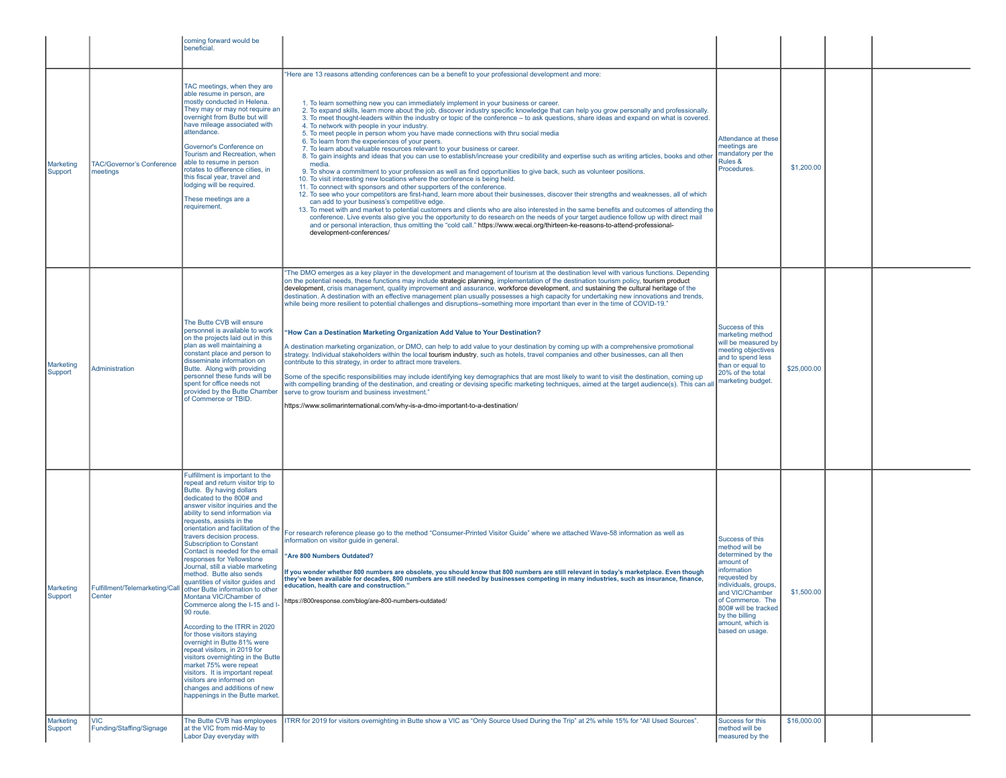|                      |                                              | coming forward would be<br>beneficial.                                                                                                                                                                                                                                                                                                                                                                                                                                                                                                                                                                                                                                                                                                                                                                                                                                                                                                                     |                                                                                                                                                                                                                                                                                                                                                                                                                                                                                                                                                                                                                                                                                                                                                                                                                                                                                                                                                                                                                                                                                                                                                                                                                                                                                                                                                                                                                                                                                                                                                                                                                                                                                                                                                                                                                                                  |                                                                                                                                                                                                                                                    |             |  |
|----------------------|----------------------------------------------|------------------------------------------------------------------------------------------------------------------------------------------------------------------------------------------------------------------------------------------------------------------------------------------------------------------------------------------------------------------------------------------------------------------------------------------------------------------------------------------------------------------------------------------------------------------------------------------------------------------------------------------------------------------------------------------------------------------------------------------------------------------------------------------------------------------------------------------------------------------------------------------------------------------------------------------------------------|--------------------------------------------------------------------------------------------------------------------------------------------------------------------------------------------------------------------------------------------------------------------------------------------------------------------------------------------------------------------------------------------------------------------------------------------------------------------------------------------------------------------------------------------------------------------------------------------------------------------------------------------------------------------------------------------------------------------------------------------------------------------------------------------------------------------------------------------------------------------------------------------------------------------------------------------------------------------------------------------------------------------------------------------------------------------------------------------------------------------------------------------------------------------------------------------------------------------------------------------------------------------------------------------------------------------------------------------------------------------------------------------------------------------------------------------------------------------------------------------------------------------------------------------------------------------------------------------------------------------------------------------------------------------------------------------------------------------------------------------------------------------------------------------------------------------------------------------------|----------------------------------------------------------------------------------------------------------------------------------------------------------------------------------------------------------------------------------------------------|-------------|--|
| Marketing<br>Support | <b>TAC/Governor's Conference</b><br>meetings | TAC meetings, when they are<br>able resume in person, are<br>mostly conducted in Helena.<br>They may or may not require an<br>overnight from Butte but will<br>have mileage associated with<br>attendance.<br>Governor's Conference on<br>Tourism and Recreation, when<br>able to resume in person<br>rotates to difference cities, in<br>this fiscal year, travel and<br>lodging will be required.<br>These meetings are a<br>requirement.                                                                                                                                                                                                                                                                                                                                                                                                                                                                                                                | "Here are 13 reasons attending conferences can be a benefit to your professional development and more:<br>1. To learn something new you can immediately implement in your business or career.<br>2. To expand skills, learn more about the job, discover industry specific knowledge that can help you grow personally and professionally.<br>3. To meet thought-leaders within the industry or topic of the conference - to ask questions, share ideas and expand on what is covered.<br>4. To network with people in your industry.<br>5. To meet people in person whom you have made connections with thru social media<br>6. To learn from the experiences of your peers.<br>7. To learn about valuable resources relevant to your business or career.<br>8. To gain insights and ideas that you can use to establish/increase your credibility and expertise such as writing articles, books and other<br>media.<br>9. To show a commitment to your profession as well as find opportunities to give back, such as volunteer positions.<br>10. To visit interesting new locations where the conference is being held.<br>11. To connect with sponsors and other supporters of the conference.<br>12. To see who your competitors are first-hand, learn more about their businesses, discover their strengths and weaknesses, all of which<br>can add to your business's competitive edge.<br>13. To meet with and market to potential customers and clients who are also interested in the same benefits and outcomes of attending the<br>conference. Live events also give you the opportunity to do research on the needs of your target audience follow up with direct mail<br>and or personal interaction, thus omitting the "cold call." https://www.wecai.org/thirteen-ke-reasons-to-attend-professional-<br>development-conferences/ | Attendance at these<br>meetings are<br>mandatory per the<br>Rules &<br>Procedures.                                                                                                                                                                 | \$1,200.00  |  |
| Marketing<br>Support | Administration                               | The Butte CVB will ensure<br>personnel is available to work<br>on the projects laid out in this<br>plan as well maintaining a<br>constant place and person to<br>disseminate information on<br>Butte. Along with providing<br>personnel these funds will be<br>spent for office needs not<br>provided by the Butte Chamber<br>of Commerce or TBID.                                                                                                                                                                                                                                                                                                                                                                                                                                                                                                                                                                                                         | "The DMO emerges as a key player in the development and management of tourism at the destination level with various functions. Depending<br>on the potential needs, these functions may include strategic planning, implementation of the destination tourism policy, tourism product<br>development, crisis management, quality improvement and assurance, workforce development, and sustaining the cultural heritage of the<br>destination. A destination with an effective management plan usually possesses a high capacity for undertaking new innovations and trends.<br>while being more resilient to potential challenges and disruptions–something more important than ever in the time of COVID-19."<br>"How Can a Destination Marketing Organization Add Value to Your Destination?<br>A destination marketing organization, or DMO, can help to add value to your destination by coming up with a comprehensive promotional<br>strategy. Individual stakeholders within the local tourism industry, such as hotels, travel companies and other businesses, can all then<br>contribute to this strategy, in order to attract more travelers.<br>Some of the specific responsibilities may include identifying key demographics that are most likely to want to visit the destination, coming up<br>with compelling branding of the destination, and creating or devising specific marketing techniques, aimed at the target audience(s). This can all<br>serve to grow tourism and business investment."<br>https://www.solimarinternational.com/why-is-a-dmo-important-to-a-destination/                                                                                                                                                                                                                                            | Success of this<br>marketing method<br>will be measured by<br>meeting objectives<br>and to spend less<br>than or equal to<br>20% of the total<br>marketing budget.                                                                                 | \$25,000.00 |  |
| Marketing<br>Support | Fulfillment/Telemarketing/Call<br>Center     | Fulfillment is important to the<br>repeat and return visitor trip to<br>Butte. By having dollars<br>dedicated to the 800# and<br>answer visitor inquiries and the<br>ability to send information via<br>requests, assists in the<br>orientation and facilitation of the<br>travers decision process.<br><b>Subscription to Constant</b><br>Contact is needed for the email<br>responses for Yellowstone<br>Journal, still a viable marketing<br>method. Butte also sends<br>quantities of visitor quides and<br>other Butte information to other<br>Montana VIC/Chamber of<br>Commerce along the I-15 and I-<br>90 route.<br>According to the ITRR in 2020<br>for those visitors staying<br>overnight in Butte 81% were<br>repeat visitors, in 2019 for<br>visitors overnighting in the Butte<br>market 75% were repeat<br>visitors. It is important repeat<br>visitors are informed on<br>changes and additions of new<br>happenings in the Butte market. | For research reference please go to the method "Consumer-Printed Visitor Guide" where we attached Wave-58 information as well as<br>information on visitor quide in general.<br>'Are 800 Numbers Outdated?<br>If you wonder whether 800 numbers are obsolete, you should know that 800 numbers are still relevant in today's marketplace. Even though<br>they've been available for decades, 800 numbers are still needed by businesses competing in many industries, such as insurance, finance,<br>education, health care and construction.'<br>https://800response.com/blog/are-800-numbers-outdated/                                                                                                                                                                                                                                                                                                                                                                                                                                                                                                                                                                                                                                                                                                                                                                                                                                                                                                                                                                                                                                                                                                                                                                                                                                         | Success of this<br>method will be<br>determined by the<br>amount of<br>information<br>requested by<br>individuals, groups,<br>and VIC/Chamber<br>of Commerce. The<br>800# will be tracked<br>by the billing<br>amount, which is<br>based on usage. | \$1,500.00  |  |
| Marketing<br>Support | <b>VIC</b><br>Funding/Staffing/Signage       | The Butte CVB has employees<br>at the VIC from mid-May to<br>Labor Day everyday with                                                                                                                                                                                                                                                                                                                                                                                                                                                                                                                                                                                                                                                                                                                                                                                                                                                                       | ITRR for 2019 for visitors overnighting in Butte show a VIC as "Only Source Used During the Trip" at 2% while 15% for "All Used Sources".                                                                                                                                                                                                                                                                                                                                                                                                                                                                                                                                                                                                                                                                                                                                                                                                                                                                                                                                                                                                                                                                                                                                                                                                                                                                                                                                                                                                                                                                                                                                                                                                                                                                                                        | Success for this<br>method will be<br>measured by the                                                                                                                                                                                              | \$16,000.00 |  |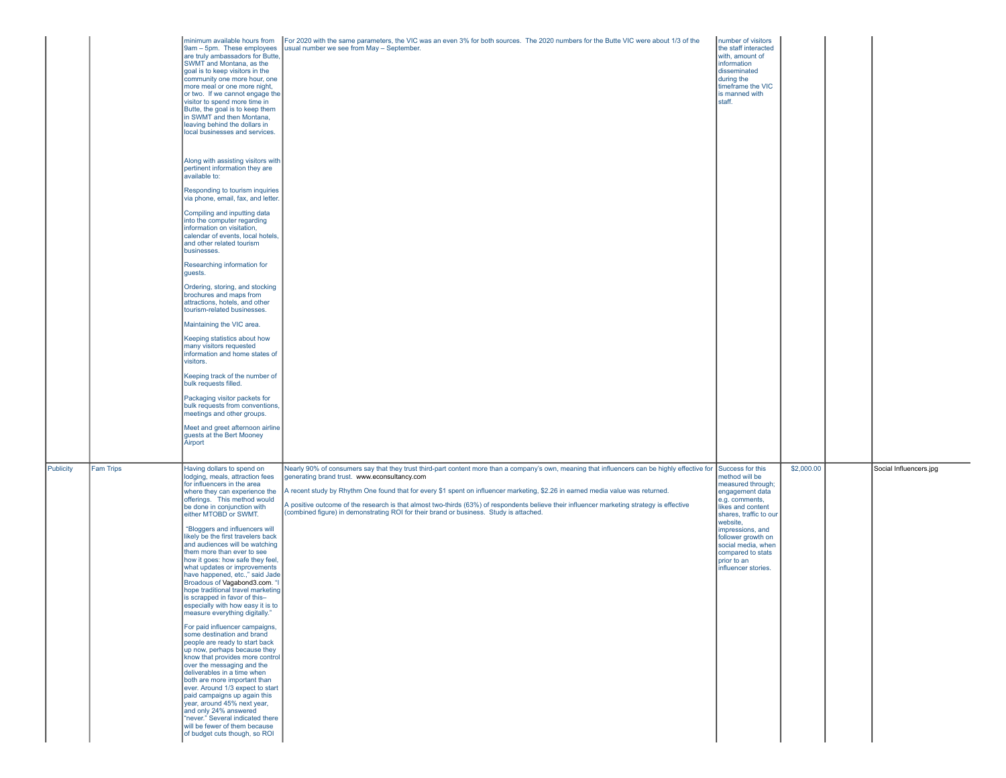|           | minimum available hours from<br>9am - 5pm. These employees<br>are truly ambassadors for Butte,<br>SWMT and Montana, as the<br>goal is to keep visitors in the<br>community one more hour, one<br>more meal or one more night,<br>or two. If we cannot engage the<br>visitor to spend more time in<br>Butte, the goal is to keep them<br>in SWMT and then Montana,<br>leaving behind the dollars in<br>local businesses and services.<br>Along with assisting visitors with<br>pertinent information they are<br>available to:<br>Responding to tourism inquiries<br>via phone, email, fax, and letter.<br>Compiling and inputting data<br>into the computer regarding<br>information on visitation,<br>calendar of events, local hotels,<br>and other related tourism<br>businesses.<br>Researching information for<br>guests.<br>Ordering, storing, and stocking<br>brochures and maps from<br>attractions, hotels, and other<br>tourism-related businesses.<br>Maintaining the VIC area.<br>Keeping statistics about how<br>many visitors requested<br>information and home states of<br>visitors.<br>Keeping track of the number of<br>bulk requests filled.<br>Packaging visitor packets for<br>bulk requests from conventions,<br>meetings and other groups.<br>Meet and greet afternoon airline<br>guests at the Bert Mooney | For 2020 with the same parameters, the VIC was an even 3% for both sources. The 2020 numbers for the Butte VIC were about 1/3 of the<br>usual number we see from May - September.                                                                                                                                                                                                                                                                                                                                                                                                          | number of visitors<br>the staff interacted<br>with, amount of<br>information<br>disseminated<br>during the<br>timeframe the VIC<br>is manned with<br>staff.                                                                                                    |            |                        |
|-----------|------------------------------------------------------------------------------------------------------------------------------------------------------------------------------------------------------------------------------------------------------------------------------------------------------------------------------------------------------------------------------------------------------------------------------------------------------------------------------------------------------------------------------------------------------------------------------------------------------------------------------------------------------------------------------------------------------------------------------------------------------------------------------------------------------------------------------------------------------------------------------------------------------------------------------------------------------------------------------------------------------------------------------------------------------------------------------------------------------------------------------------------------------------------------------------------------------------------------------------------------------------------------------------------------------------------------------------|--------------------------------------------------------------------------------------------------------------------------------------------------------------------------------------------------------------------------------------------------------------------------------------------------------------------------------------------------------------------------------------------------------------------------------------------------------------------------------------------------------------------------------------------------------------------------------------------|----------------------------------------------------------------------------------------------------------------------------------------------------------------------------------------------------------------------------------------------------------------|------------|------------------------|
| Fam Trips | Having dollars to spend on<br>lodging, meals, attraction fees<br>for influencers in the area<br>where they can experience the<br>offerings. This method would<br>be done in conjunction with<br>either MTOBD or SWMT.<br>"Bloggers and influencers will<br>likely be the first travelers back<br>and audiences will be watching<br>them more than ever to see<br>how it goes: how safe they feel.<br>what updates or improvements<br>have happened, etc.," said Jade<br>Broadous of Vagabond3.com. "I<br>hope traditional travel marketing<br>is scrapped in favor of this-<br>especially with how easy it is to<br>measure everything digitally."<br>For paid influencer campaigns,<br>some destination and brand<br>people are ready to start back<br>up now, perhaps because they<br>know that provides more control<br>over the messaging and the<br>deliverables in a time when<br>both are more important than<br>ever. Around 1/3 expect to start<br>paid campaigns up again this<br>year, around 45% next year,<br>and only 24% answered<br>"never." Several indicated there<br>will be fewer of them because<br>of budget cuts though, so ROI                                                                                                                                                                             | Nearly 90% of consumers say that they trust third-part content more than a company's own, meaning that influencers can be highly effective for Success for this<br>generating brand trust. www.econsultancy.com<br>A recent study by Rhythm One found that for every \$1 spent on influencer marketing, \$2.26 in earned media value was returned.<br>A positive outcome of the research is that almost two-thirds (63%) of respondents believe their influencer marketing strategy is effective<br>(combined figure) in demonstrating ROI for their brand or business. Study is attached. | method will be<br>measured through;<br>engagement data<br>e.g. comments,<br>likes and content<br>shares, traffic to our<br>website,<br>impressions, and<br>follower growth on<br>social media, when<br>compared to stats<br>prior to an<br>influencer stories. | \$2,000.00 | Social Influencers.jpg |

Publicity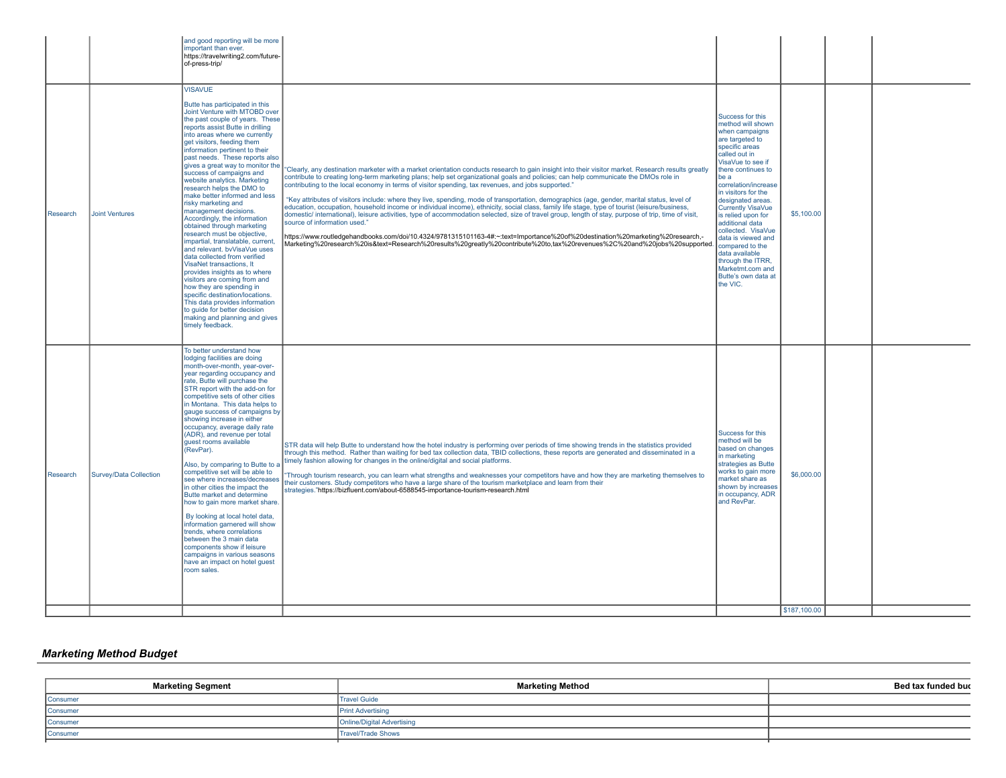| Research | <b>Joint Ventures</b>  | and good reporting will be more<br>important than ever.<br>https://travelwriting2.com/future-<br>of-press-trip/<br><b>VISAVUE</b><br>Butte has participated in this<br>Joint Venture with MTOBD over<br>the past couple of years. These<br>reports assist Butte in drilling<br>into areas where we currently<br>get visitors, feeding them<br>information pertinent to their<br>past needs. These reports also<br>gives a great way to monitor the<br>success of campaigns and<br>website analytics. Marketing<br>research helps the DMO to<br>make better informed and less<br>risky marketing and<br>management decisions.<br>Accordingly, the information<br>obtained through marketing<br>research must be objective,<br>impartial, translatable, current,<br>and relevant. bvVisaVue uses<br>data collected from verified<br>VisaNet transactions, It<br>provides insights as to where<br>visitors are coming from and<br>how they are spending in<br>specific destination/locations.<br>This data provides information<br>to quide for better decision<br>making and planning and gives | "Clearly, any destination marketer with a market orientation conducts research to gain insight into their visitor market. Research results greatly<br>contribute to creating long-term marketing plans; help set organizational goals and policies; can help communicate the DMOs role in<br>contributing to the local economy in terms of visitor spending, tax revenues, and jobs supported."<br>"Key attributes of visitors include: where they live, spending, mode of transportation, demographics (age, gender, marital status, level of<br>education, occupation, household income or individual income), ethnicity, social class, family life stage, type of tourist (leisure/business,<br>domestic/ international), leisure activities, type of accommodation selected, size of travel group, length of stay, purpose of trip, time of visit,<br>source of information used."<br>https://www.routledgehandbooks.com/doi/10.4324/9781315101163-4#:~:text=Importance%20of%20destination%20marketing%20research,-<br>Marketing%20research%20is&text=Research%20results%20greatly%20contribute%20to,tax%20revenues%2C%20and%20jobs%20supported. | Success for this<br>method will shown<br>when campaigns<br>are targeted to<br>specific areas<br>called out in<br>VisaVue to see if<br>there continues to<br>be a<br>correlation/increase<br>in visitors for the<br>designated areas.<br><b>Currently VisaVue</b><br>is relied upon for<br>additional data<br>collected. VisaVue<br>data is viewed and<br>compared to the<br>data available<br>through the ITRR,<br>Marketmt.com and<br>Butte's own data at<br>the VIC. | \$5,100.00                 |  |
|----------|------------------------|-----------------------------------------------------------------------------------------------------------------------------------------------------------------------------------------------------------------------------------------------------------------------------------------------------------------------------------------------------------------------------------------------------------------------------------------------------------------------------------------------------------------------------------------------------------------------------------------------------------------------------------------------------------------------------------------------------------------------------------------------------------------------------------------------------------------------------------------------------------------------------------------------------------------------------------------------------------------------------------------------------------------------------------------------------------------------------------------------|------------------------------------------------------------------------------------------------------------------------------------------------------------------------------------------------------------------------------------------------------------------------------------------------------------------------------------------------------------------------------------------------------------------------------------------------------------------------------------------------------------------------------------------------------------------------------------------------------------------------------------------------------------------------------------------------------------------------------------------------------------------------------------------------------------------------------------------------------------------------------------------------------------------------------------------------------------------------------------------------------------------------------------------------------------------------------------------------------------------------------------------------------|------------------------------------------------------------------------------------------------------------------------------------------------------------------------------------------------------------------------------------------------------------------------------------------------------------------------------------------------------------------------------------------------------------------------------------------------------------------------|----------------------------|--|
| Research | Survey/Data Collection | timely feedback.<br>To better understand how<br>lodging facilities are doing<br>month-over-month, year-over-<br>year regarding occupancy and<br>rate, Butte will purchase the<br>STR report with the add-on for<br>competitive sets of other cities<br>in Montana. This data helps to<br>gauge success of campaigns by<br>showing increase in either<br>occupancy, average daily rate<br>(ADR), and revenue per total<br>guest rooms available<br>(RevPar).<br>Also, by comparing to Butte to a<br>competitive set will be able to<br>see where increases/decreases<br>in other cities the impact the<br>Butte market and determine<br>how to gain more market share.<br>By looking at local hotel data,<br>information garnered will show<br>trends, where correlations<br>between the 3 main data<br>components show if leisure<br>campaigns in various seasons<br>have an impact on hotel quest<br>room sales.                                                                                                                                                                             | STR data will help Butte to understand how the hotel industry is performing over periods of time showing trends in the statistics provided<br>through this method. Rather than waiting for bed tax collection data, TBID collections, these reports are generated and disseminated in a<br>timely fashion allowing for changes in the online/digital and social platforms.<br>"Through tourism research, you can learn what strengths and weaknesses your competitors have and how they are marketing themselves to<br>their customers. Study competitors who have a large share of the tourism marketplace and learn from their<br>strategies."https://bizfluent.com/about-6588545-importance-tourism-research.html                                                                                                                                                                                                                                                                                                                                                                                                                                 | Success for this<br>method will be<br>based on changes<br>in marketing<br>strategies as Butte<br>works to gain more<br>market share as<br>shown by increases<br>in occupancy, ADR<br>and RevPar.                                                                                                                                                                                                                                                                       | \$6,000.00<br>\$187,100.00 |  |

# *Marketing Method Budget*

| <b>Marketing Segment</b> | <b>Marketing Method</b>           | Bed tax funded buc |
|--------------------------|-----------------------------------|--------------------|
| Consumer                 | <b>Travel Guide</b>               |                    |
| Consumer                 | <b>Print Advertising</b>          |                    |
| Consumer                 | <b>Online/Digital Advertising</b> |                    |
| Consumer                 | Travel/Trade Shows                |                    |
|                          |                                   |                    |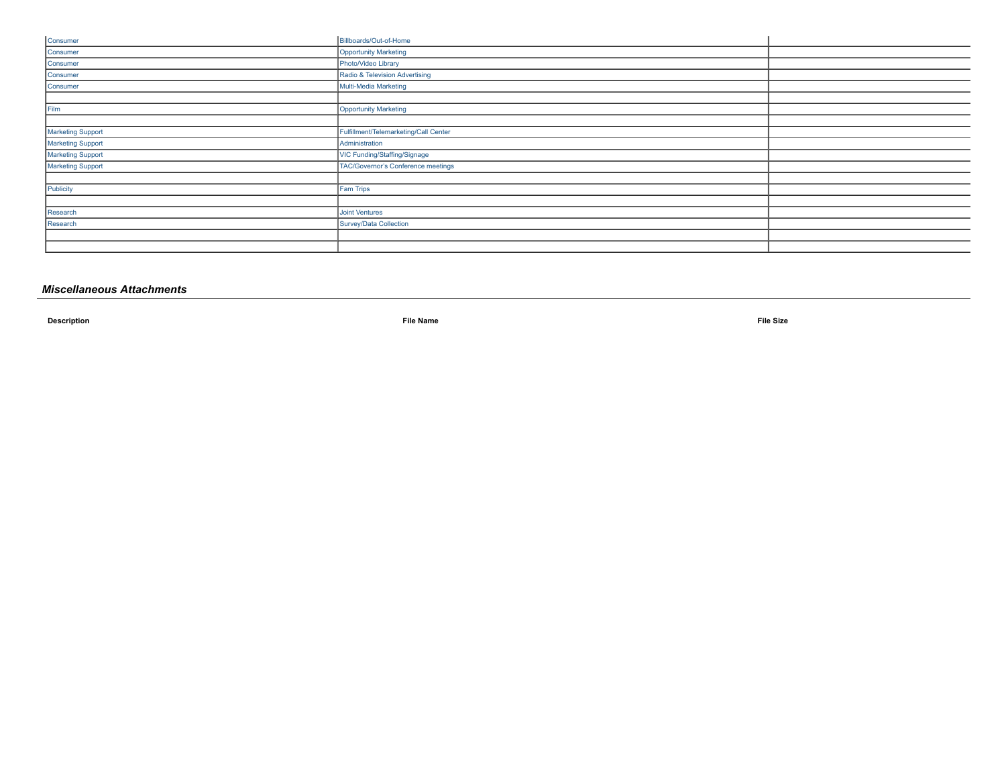| Billboards/Out-of-Home                |  |
|---------------------------------------|--|
| <b>Opportunity Marketing</b>          |  |
| Photo/Video Library                   |  |
| Radio & Television Advertising        |  |
| Multi-Media Marketing                 |  |
|                                       |  |
| <b>Opportunity Marketing</b>          |  |
|                                       |  |
| Fulfillment/Telemarketing/Call Center |  |
| Administration                        |  |
| VIC Funding/Staffing/Signage          |  |
| TAC/Governor's Conference meetings    |  |
|                                       |  |
| <b>Fam Trips</b>                      |  |
|                                       |  |
| Joint Ventures                        |  |
| Survey/Data Collection                |  |
|                                       |  |
|                                       |  |
|                                       |  |

## *Miscellaneous Attachments*

**Description File Name File Size**